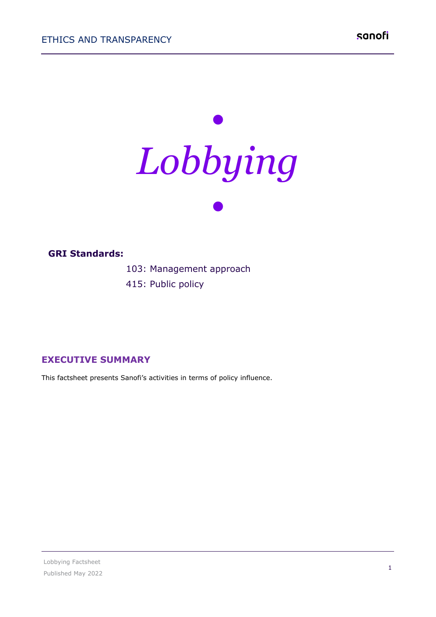чģ



#### ..................... **GRI Standards:**

1. . . . . . . . . . . .

103: Management approach

415: Public policy

### **EXECUTIVE SUMMARY**

This factsheet presents Sanofi's activities in terms of policy influence.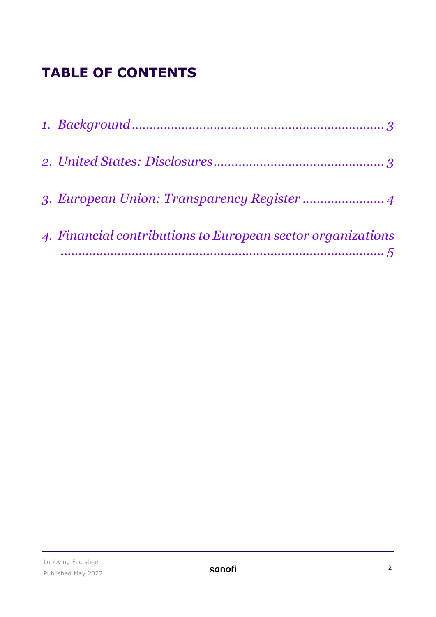# **TABLE OF CONTENTS**

| 4. Financial contributions to European sector organizations |
|-------------------------------------------------------------|
|                                                             |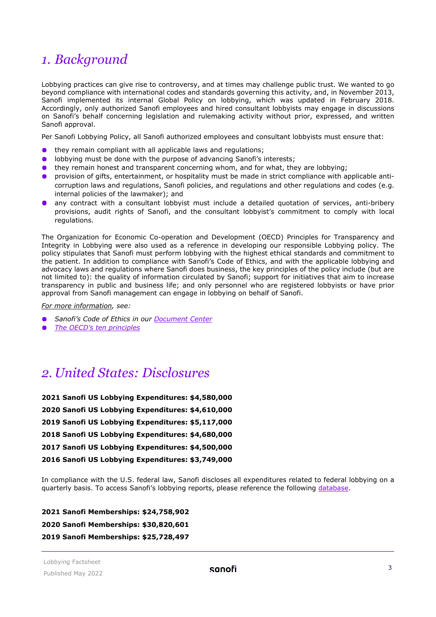## <span id="page-2-0"></span>*1. Background*

Lobbying practices can give rise to controversy, and at times may challenge public trust. We wanted to go beyond compliance with international codes and standards governing this activity, and, in November 2013, Sanofi implemented its internal Global Policy on lobbying, which was updated in February 2018. Accordingly, only authorized Sanofi employees and hired consultant lobbyists may engage in discussions on Sanofi's behalf concerning legislation and rulemaking activity without prior, expressed, and written Sanofi approval.

Per Sanofi Lobbying Policy, all Sanofi authorized employees and consultant lobbyists must ensure that:

- they remain compliant with all applicable laws and regulations;
- lobbying must be done with the purpose of advancing Sanofi's interests;  $\bullet$
- $\bullet$ they remain honest and transparent concerning whom, and for what, they are lobbying;
- $\bullet$ provision of gifts, entertainment, or hospitality must be made in strict compliance with applicable anticorruption laws and regulations, Sanofi policies, and regulations and other regulations and codes (e.g. internal policies of the lawmaker); and
- any contract with a consultant lobbyist must include a detailed quotation of services, anti-bribery provisions, audit rights of Sanofi, and the consultant lobbyist's commitment to comply with local regulations.

The Organization for Economic Co-operation and Development (OECD) Principles for Transparency and Integrity in Lobbying were also used as a reference in developing our responsible Lobbying policy. The policy stipulates that Sanofi must perform lobbying with the highest ethical standards and commitment to the patient. In addition to compliance with Sanofi's Code of Ethics, and with the applicable lobbying and advocacy laws and regulations where Sanofi does business, the key principles of the policy include (but are not limited to): the quality of information circulated by Sanofi; support for initiatives that aim to increase transparency in public and business life; and only personnel who are registered lobbyists or have prior approval from Sanofi management can engage in lobbying on behalf of Sanofi.

*For more information, see:*

- *Sanofi's Code of Ethics in our [Document Center](https://www.sanofi.com/en/our-responsibility/documents-center)*
- *[The OECD's ten principles](http://www.oecd.org/gov/ethics/oecdprinciplesfortransparencyandintegrityinlobbying.htm)*

### <span id="page-2-1"></span>*2. United States: Disclosures*

**2021 Sanofi US Lobbying Expenditures: \$4,580,000 2020 Sanofi US Lobbying Expenditures: \$4,610,000 2019 Sanofi US Lobbying Expenditures: \$5,117,000 2018 Sanofi US Lobbying Expenditures: \$4,680,000 2017 Sanofi US Lobbying Expenditures: \$4,500,000 2016 Sanofi US Lobbying Expenditures: \$3,749,000**

In compliance with the U.S. federal law, Sanofi discloses all expenditures related to federal lobbying on a quarterly basis. To access Sanofi's lobbying reports, please reference the following [database.](https://disclosurespreview.house.gov/?index=%22lobbying-disclosures%22&size=10&sort=%5b%7b%22_score%22:true%7d,%7b%22field%22:%22registrant.name%22,%22order%22:%22asc%22%7d%5d)

**2021 Sanofi Memberships: \$24,758,902 2020 Sanofi Memberships: \$30,820,601 2019 Sanofi Memberships: \$25,728,497**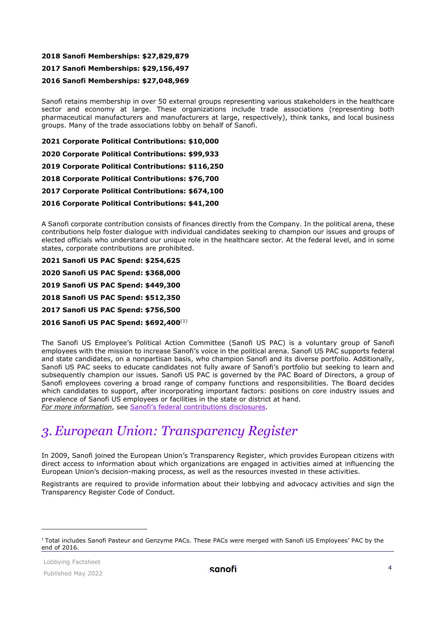#### **2018 Sanofi Memberships: \$27,829,879**

#### **2017 Sanofi Memberships: \$29,156,497**

#### **2016 Sanofi Memberships: \$27,048,969**

Sanofi retains membership in over 50 external groups representing various stakeholders in the healthcare sector and economy at large. These organizations include trade associations (representing both pharmaceutical manufacturers and manufacturers at large, respectively), think tanks, and local business groups. Many of the trade associations lobby on behalf of Sanofi.

**2021 Corporate Political Contributions: \$10,000**

**2020 Corporate Political Contributions: \$99,933**

**2019 Corporate Political Contributions: \$116,250**

**2018 Corporate Political Contributions: \$76,700**

**2017 Corporate Political Contributions: \$674,100**

**2016 Corporate Political Contributions: \$41,200**

A Sanofi corporate contribution consists of finances directly from the Company. In the political arena, these contributions help foster dialogue with individual candidates seeking to champion our issues and groups of elected officials who understand our unique role in the healthcare sector. At the federal level, and in some states, corporate contributions are prohibited.

**2021 Sanofi US PAC Spend: \$254,625**

**2020 Sanofi US PAC Spend: \$368,000**

**2019 Sanofi US PAC Spend: \$449,300**

**2018 Sanofi US PAC Spend: \$512,350**

**2017 Sanofi US PAC Spend: \$756,500**

**2016 Sanofi US PAC Spend: \$692,400**([1](#page-3-1))

The Sanofi US Employee's Political Action Committee (Sanofi US PAC) is a voluntary group of Sanofi employees with the mission to increase Sanofi's voice in the political arena. Sanofi US PAC supports federal and state candidates, on a nonpartisan basis, who champion Sanofi and its diverse portfolio. Additionally, Sanofi US PAC seeks to educate candidates not fully aware of Sanofi's portfolio but seeking to learn and subsequently champion our issues. Sanofi US PAC is governed by the PAC Board of Directors, a group of Sanofi employees covering a broad range of company functions and responsibilities. The Board decides which candidates to support, after incorporating important factors: positions on core industry issues and prevalence of Sanofi US employees or facilities in the state or district at hand. *For more information*, see [Sanofi's federal contributions disclosures.](https://disclosurespreview.house.gov/?index=%22lobbying-contributions%22&size=10&matches=%5b%7b%22query%22:%22Sanofi%22,%22fields%22:%5b%22pacs.name%22%5d%7d%5d&filters=%7b%22reportYear%22:%5b%222019%22%5d%7d&sort=%5b%7b%22_score%22:true%7d,%7b%22field%22:%22organizationName%22,%22order%22:%22asc%22%7d%5d)

### <span id="page-3-0"></span>*3. European Union: Transparency Register*

In 2009, Sanofi joined the European Union's Transparency Register, which provides European citizens with direct access to information about which organizations are engaged in activities aimed at influencing the European Union's decision-making process, as well as the resources invested in these activities.

Registrants are required to provide information about their lobbying and advocacy activities and sign the Transparency Register Code of Conduct.

<span id="page-3-1"></span><sup>1</sup> Total includes Sanofi Pasteur and Genzyme PACs. These PACs were merged with Sanofi US Employees' PAC by the end of 2016.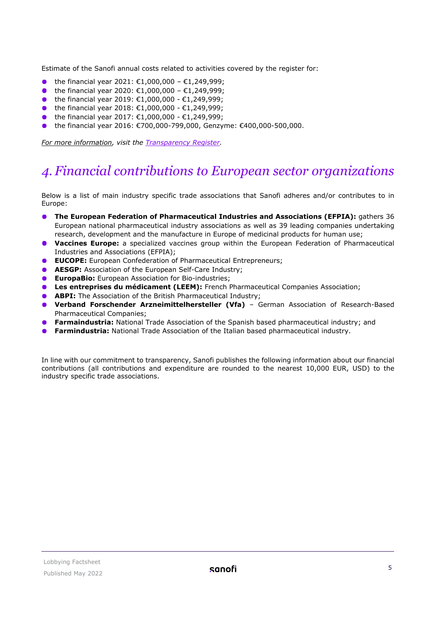Estimate of the Sanofi annual costs related to activities covered by the register for:

- the financial year 2021: €1,000,000 €1,249,999;  $\bullet$
- the financial year 2020: €1,000,000 €1,249,999;
- the financial year 2019: €1,000,000 €1,249,999;
- the financial year 2018: €1,000,000 €1,249,999;
- the financial year 2017: €1,000,000 €1,249,999;
- **●** the financial year 2016: €700,000-799,000, Genzyme: €400,000-500,000.

*For more information, visit the [Transparency Register.](http://europa.eu/transparency-register/index_en.htm)*

## <span id="page-4-0"></span>*4. Financial contributions to European sector organizations*

Below is a list of main industry specific trade associations that Sanofi adheres and/or contributes to in Europe:

- **The European Federation of Pharmaceutical Industries and Associations (EFPIA):** gathers 36 European national pharmaceutical industry associations as well as 39 leading companies undertaking research, development and the manufacture in Europe of medicinal products for human use;
- **Vaccines Europe:** a specialized vaccines group within the European Federation of Pharmaceutical Industries and Associations (EFPIA);
- **EUCOPE:** European Confederation of Pharmaceutical Entrepreneurs;
- **AESGP:** Association of the European Self-Care Industry:
- **EuropaBio:** European Association for Bio-industries;
- **Les entreprises du médicament (LEEM):** French Pharmaceutical Companies Association;
- **ABPI:** The Association of the British Pharmaceutical Industry;
- **Verband Forschender Arzneimittelhersteller (Vfa)** German Association of Research-Based Pharmaceutical Companies;
- **Farmaindustria:** National Trade Association of the Spanish based pharmaceutical industry; and
- **Farmindustria:** National Trade Association of the Italian based pharmaceutical industry.

In line with our commitment to transparency, Sanofi publishes the following information about our financial contributions (all contributions and expenditure are rounded to the nearest 10,000 EUR, USD) to the industry specific trade associations.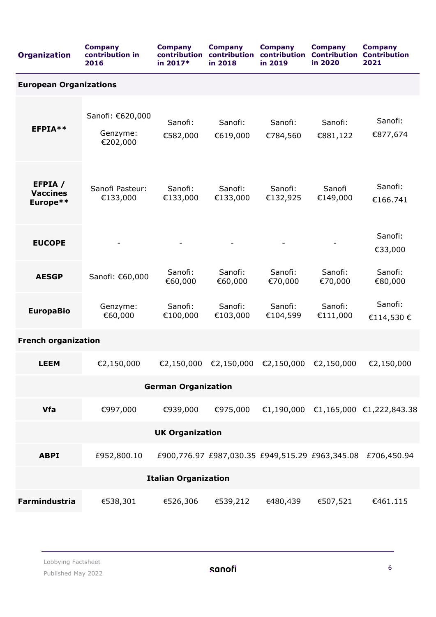| <b>Organization</b>                    | <b>Company</b><br>contribution in<br>2016 | <b>Company</b><br>contribution<br>in 2017* | <b>Company</b><br>contribution<br>in 2018 | <b>Company</b><br>contribution<br>in 2019 | <b>Company</b><br><b>Contribution</b><br>in 2020 | <b>Company</b><br><b>Contribution</b><br>2021               |  |  |  |  |
|----------------------------------------|-------------------------------------------|--------------------------------------------|-------------------------------------------|-------------------------------------------|--------------------------------------------------|-------------------------------------------------------------|--|--|--|--|
| <b>European Organizations</b>          |                                           |                                            |                                           |                                           |                                                  |                                                             |  |  |  |  |
| EFPIA**                                | Sanofi: €620,000<br>Genzyme:<br>€202,000  | Sanofi:<br>€582,000                        | Sanofi:<br>€619,000                       | Sanofi:<br>€784,560                       | Sanofi:<br>€881,122                              | Sanofi:<br>€877,674                                         |  |  |  |  |
| EFPIA /<br><b>Vaccines</b><br>Europe** | Sanofi Pasteur:<br>€133,000               | Sanofi:<br>€133,000                        | Sanofi:<br>€133,000                       | Sanofi:<br>€132,925                       | Sanofi<br>€149,000                               | Sanofi:<br>€166.741                                         |  |  |  |  |
| <b>EUCOPE</b>                          |                                           |                                            |                                           |                                           |                                                  | Sanofi:<br>€33,000                                          |  |  |  |  |
| <b>AESGP</b>                           | Sanofi: €60,000                           | Sanofi:<br>€60,000                         | Sanofi:<br>€60,000                        | Sanofi:<br>€70,000                        | Sanofi:<br>€70,000                               | Sanofi:<br>€80,000                                          |  |  |  |  |
| <b>EuropaBio</b>                       | Genzyme:<br>€60,000                       | Sanofi:<br>€100,000                        | Sanofi:<br>€103,000                       | Sanofi:<br>€104,599                       | Sanofi:<br>€111,000                              | Sanofi:<br>€114,530€                                        |  |  |  |  |
| <b>French organization</b>             |                                           |                                            |                                           |                                           |                                                  |                                                             |  |  |  |  |
| <b>LEEM</b>                            | €2,150,000                                | €2,150,000                                 | €2,150,000                                | €2,150,000                                | €2,150,000                                       | €2,150,000                                                  |  |  |  |  |
| <b>German Organization</b>             |                                           |                                            |                                           |                                           |                                                  |                                                             |  |  |  |  |
| <b>Vfa</b>                             | €997,000                                  | €939,000                                   |                                           |                                           |                                                  | €975,000 €1,190,000 €1,165,000 €1,222,843.38                |  |  |  |  |
| <b>UK Organization</b>                 |                                           |                                            |                                           |                                           |                                                  |                                                             |  |  |  |  |
| <b>ABPI</b>                            | £952,800.10                               |                                            |                                           |                                           |                                                  | £900,776.97 £987,030.35 £949,515.29 £963,345.08 £706,450.94 |  |  |  |  |
| <b>Italian Organization</b>            |                                           |                                            |                                           |                                           |                                                  |                                                             |  |  |  |  |
| <b>Farmindustria</b>                   | €538,301                                  | €526,306                                   | €539,212                                  | €480,439                                  | €507,521                                         | €461.115                                                    |  |  |  |  |